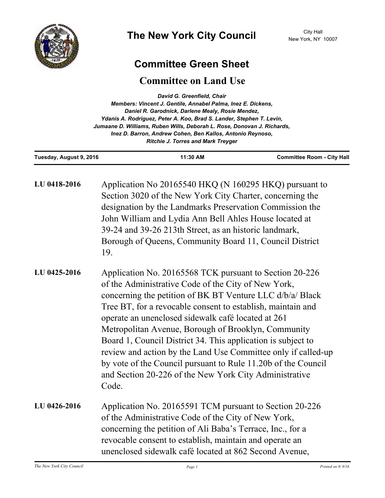

## **Committee Green Sheet**

## **Committee on Land Use**

| David G. Greenfield, Chair<br>Members: Vincent J. Gentile, Annabel Palma, Inez E. Dickens,<br>Daniel R. Garodnick, Darlene Mealy, Rosie Mendez,<br>Ydanis A. Rodriguez, Peter A. Koo, Brad S. Lander, Stephen T. Levin,<br>Jumaane D. Williams, Ruben Wills, Deborah L. Rose, Donovan J. Richards,<br>Inez D. Barron, Andrew Cohen, Ben Kallos, Antonio Reynoso,<br><b>Ritchie J. Torres and Mark Treyger</b> |                                                                                                                                                                                                                                                                                                                                                                                                                                                                                                                                                                                                                              |                                   |
|---------------------------------------------------------------------------------------------------------------------------------------------------------------------------------------------------------------------------------------------------------------------------------------------------------------------------------------------------------------------------------------------------------------|------------------------------------------------------------------------------------------------------------------------------------------------------------------------------------------------------------------------------------------------------------------------------------------------------------------------------------------------------------------------------------------------------------------------------------------------------------------------------------------------------------------------------------------------------------------------------------------------------------------------------|-----------------------------------|
| Tuesday, August 9, 2016                                                                                                                                                                                                                                                                                                                                                                                       | 11:30 AM                                                                                                                                                                                                                                                                                                                                                                                                                                                                                                                                                                                                                     | <b>Committee Room - City Hall</b> |
| LU 0418-2016                                                                                                                                                                                                                                                                                                                                                                                                  | Application No 20165540 HKQ (N 160295 HKQ) pursuant to<br>Section 3020 of the New York City Charter, concerning the<br>designation by the Landmarks Preservation Commission the<br>John William and Lydia Ann Bell Ahles House located at<br>39-24 and 39-26 213th Street, as an historic landmark,<br>Borough of Queens, Community Board 11, Council District<br>19.                                                                                                                                                                                                                                                        |                                   |
| LU 0425-2016                                                                                                                                                                                                                                                                                                                                                                                                  | Application No. 20165568 TCK pursuant to Section 20-226<br>of the Administrative Code of the City of New York,<br>concerning the petition of BK BT Venture LLC d/b/a/ Black<br>Tree BT, for a revocable consent to establish, maintain and<br>operate an unenclosed sidewalk café located at 261<br>Metropolitan Avenue, Borough of Brooklyn, Community<br>Board 1, Council District 34. This application is subject to<br>review and action by the Land Use Committee only if called-up<br>by vote of the Council pursuant to Rule 11.20b of the Council<br>and Section 20-226 of the New York City Administrative<br>Code. |                                   |
| LU 0426-2016                                                                                                                                                                                                                                                                                                                                                                                                  | Application No. 20165591 TCM pursuant to Section 20-226<br>of the Administrative Code of the City of New York,<br>concerning the petition of Ali Baba's Terrace, Inc., for a<br>revocable consent to establish, maintain and operate an<br>unenclosed sidewalk café located at 862 Second Avenue,                                                                                                                                                                                                                                                                                                                            |                                   |